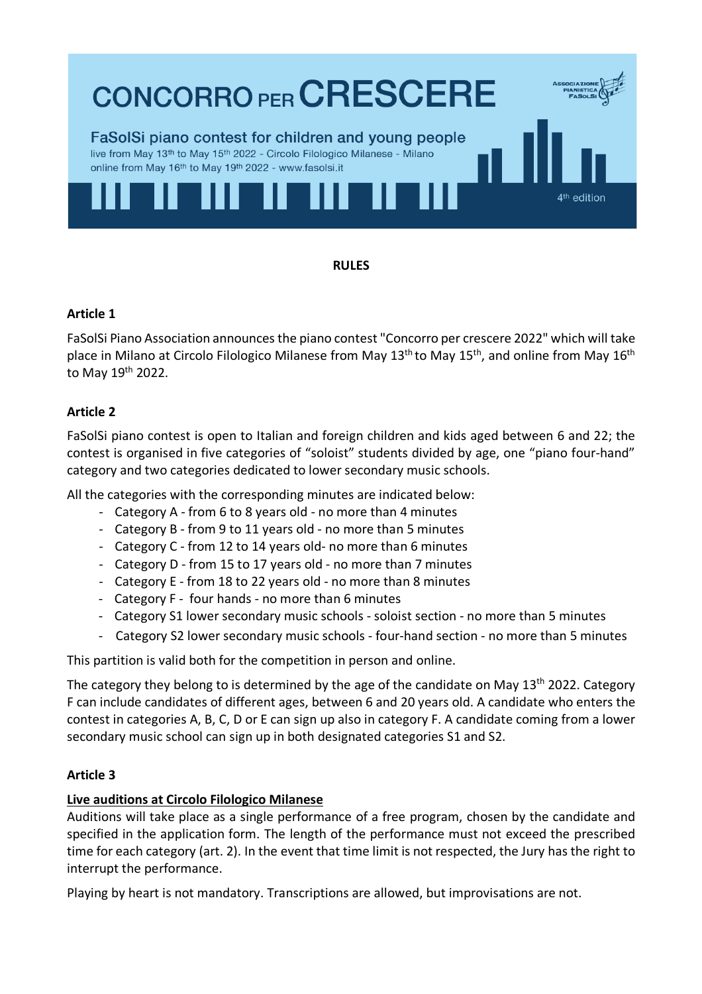

**RULES**

#### **Article 1**

FaSolSi Piano Association announces the piano contest "Concorro per crescere 2022" which will take place in Milano at Circolo Filologico Milanese from May  $13<sup>th</sup>$  to May  $15<sup>th</sup>$ , and online from May  $16<sup>th</sup>$ to May 19th 2022.

## **Article 2**

FaSolSi piano contest is open to Italian and foreign children and kids aged between 6 and 22; the contest is organised in five categories of "soloist" students divided by age, one "piano four-hand" category and two categories dedicated to lower secondary music schools.

All the categories with the corresponding minutes are indicated below:

- Category A from 6 to 8 years old no more than 4 minutes
- Category B from 9 to 11 years old no more than 5 minutes
- Category C from 12 to 14 years old- no more than 6 minutes
- Category D from 15 to 17 years old no more than 7 minutes
- Category E from 18 to 22 years old no more than 8 minutes
- Category F four hands no more than 6 minutes
- Category S1 lower secondary music schools soloist section no more than 5 minutes
- Category S2 lower secondary music schools four-hand section no more than 5 minutes

This partition is valid both for the competition in person and online.

The category they belong to is determined by the age of the candidate on May  $13<sup>th</sup>$  2022. Category F can include candidates of different ages, between 6 and 20 years old. A candidate who enters the contest in categories A, B, C, D or E can sign up also in category F. A candidate coming from a lower secondary music school can sign up in both designated categories S1 and S2.

## **Article 3**

## **Live auditions at Circolo Filologico Milanese**

Auditions will take place as a single performance of a free program, chosen by the candidate and specified in the application form. The length of the performance must not exceed the prescribed time for each category (art. 2). In the event that time limit is not respected, the Jury has the right to interrupt the performance.

Playing by heart is not mandatory. Transcriptions are allowed, but improvisations are not.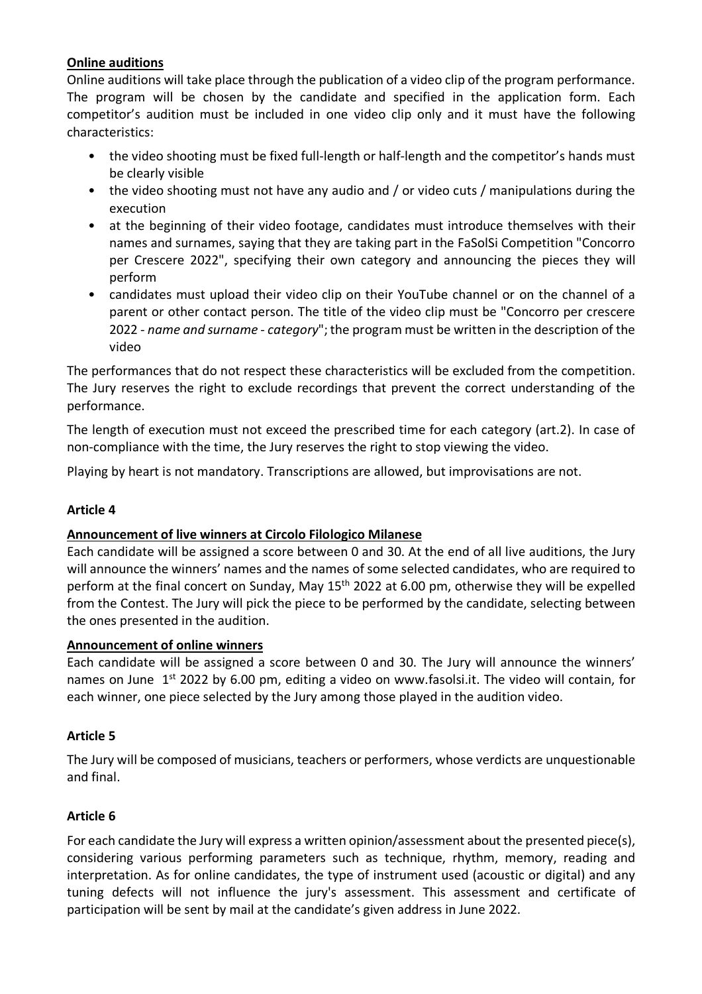## **Online auditions**

Online auditions will take place through the publication of a video clip of the program performance. The program will be chosen by the candidate and specified in the application form. Each competitor's audition must be included in one video clip only and it must have the following characteristics:

- the video shooting must be fixed full-length or half-length and the competitor's hands must be clearly visible
- the video shooting must not have any audio and / or video cuts / manipulations during the execution
- at the beginning of their video footage, candidates must introduce themselves with their names and surnames, saying that they are taking part in the FaSolSi Competition "Concorro per Crescere 2022", specifying their own category and announcing the pieces they will perform
- candidates must upload their video clip on their YouTube channel or on the channel of a parent or other contact person. The title of the video clip must be "Concorro per crescere 2022 - *name and surname* - *category*"; the program must be written in the description of the video

The performances that do not respect these characteristics will be excluded from the competition. The Jury reserves the right to exclude recordings that prevent the correct understanding of the performance.

The length of execution must not exceed the prescribed time for each category (art.2). In case of non-compliance with the time, the Jury reserves the right to stop viewing the video.

Playing by heart is not mandatory. Transcriptions are allowed, but improvisations are not.

## **Article 4**

## **Announcement of live winners at Circolo Filologico Milanese**

Each candidate will be assigned a score between 0 and 30. At the end of all live auditions, the Jury will announce the winners' names and the names of some selected candidates, who are required to perform at the final concert on Sunday, May 15<sup>th</sup> 2022 at 6.00 pm, otherwise they will be expelled from the Contest. The Jury will pick the piece to be performed by the candidate, selecting between the ones presented in the audition.

## **Announcement of online winners**

Each candidate will be assigned a score between 0 and 30. The Jury will announce the winners' names on June 1<sup>st</sup> 2022 by 6.00 pm, editing a video on www.fasolsi.it. The video will contain, for each winner, one piece selected by the Jury among those played in the audition video.

## **Article 5**

The Jury will be composed of musicians, teachers or performers, whose verdicts are unquestionable and final.

## **Article 6**

For each candidate the Jury will express a written opinion/assessment about the presented piece(s), considering various performing parameters such as technique, rhythm, memory, reading and interpretation. As for online candidates, the type of instrument used (acoustic or digital) and any tuning defects will not influence the jury's assessment. This assessment and certificate of participation will be sent by mail at the candidate's given address in June 2022.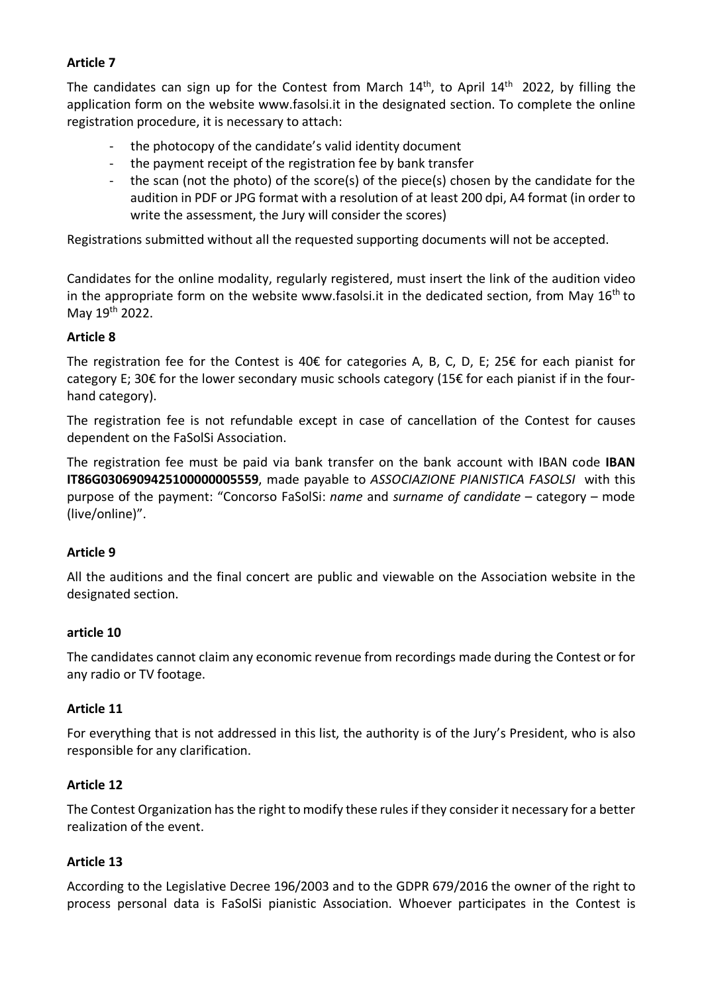# **Article 7**

The candidates can sign up for the Contest from March  $14<sup>th</sup>$ , to April  $14<sup>th</sup>$  2022, by filling the application form on the website www.fasolsi.it in the designated section. To complete the online registration procedure, it is necessary to attach:

- the photocopy of the candidate's valid identity document
- the payment receipt of the registration fee by bank transfer
- the scan (not the photo) of the score(s) of the piece(s) chosen by the candidate for the audition in PDF or JPG format with a resolution of at least 200 dpi, A4 format (in order to write the assessment, the Jury will consider the scores)

Registrations submitted without all the requested supporting documents will not be accepted.

Candidates for the online modality, regularly registered, must insert the link of the audition video in the appropriate form on the website www.fasolsi.it in the dedicated section, from May  $16<sup>th</sup>$  to May 19th 2022.

#### **Article 8**

The registration fee for the Contest is 40€ for categories A, B, C, D, E; 25€ for each pianist for category E; 30€ for the lower secondary music schools category (15€ for each pianist if in the fourhand category).

The registration fee is not refundable except in case of cancellation of the Contest for causes dependent on the FaSolSi Association.

The registration fee must be paid via bank transfer on the bank account with IBAN code **IBAN IT86G0306909425100000005559**, made payable to *ASSOCIAZIONE PIANISTICA FASOLSI* with this purpose of the payment: "Concorso FaSolSi: *name* and *surname of candidate* – category – mode (live/online)".

## **Article 9**

All the auditions and the final concert are public and viewable on the Association website in the designated section.

## **article 10**

The candidates cannot claim any economic revenue from recordings made during the Contest or for any radio or TV footage.

#### **Article 11**

For everything that is not addressed in this list, the authority is of the Jury's President, who is also responsible for any clarification.

#### **Article 12**

The Contest Organization has the right to modify these rules if they consider it necessary for a better realization of the event.

#### **Article 13**

According to the Legislative Decree 196/2003 and to the GDPR 679/2016 the owner of the right to process personal data is FaSolSi pianistic Association. Whoever participates in the Contest is